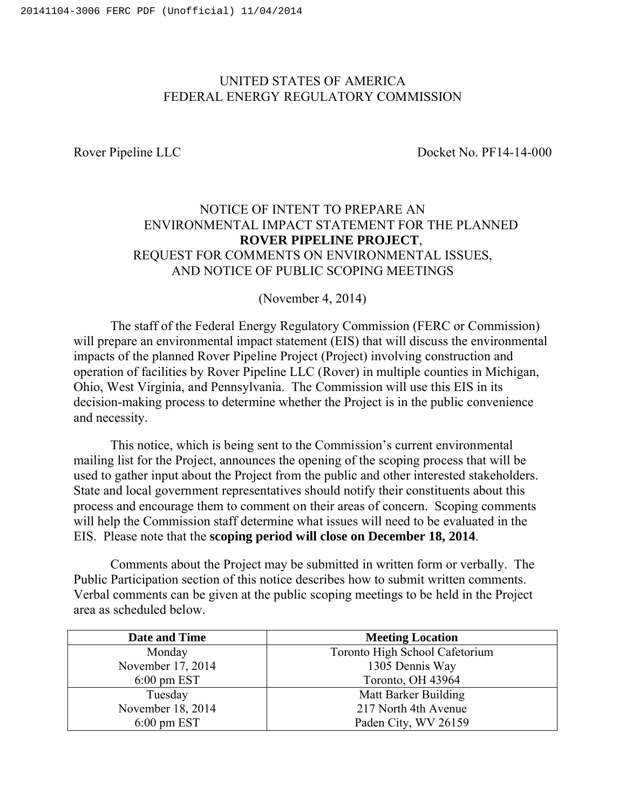## UNITED STATES OF AMERICA FEDERAL ENERGY REGULATORY COMMISSION

Rover Pipeline LLC Docket No. PF14-14-000

# NOTICE OF INTENT TO PREPARE AN ENVIRONMENTAL IMPACT STATEMENT FOR THE PLANNED **ROVER PIPELINE PROJECT**, REQUEST FOR COMMENTS ON ENVIRONMENTAL ISSUES, AND NOTICE OF PUBLIC SCOPING MEETINGS

(November 4, 2014)

The staff of the Federal Energy Regulatory Commission (FERC or Commission) will prepare an environmental impact statement (EIS) that will discuss the environmental impacts of the planned Rover Pipeline Project (Project) involving construction and operation of facilities by Rover Pipeline LLC (Rover) in multiple counties in Michigan, Ohio, West Virginia, and Pennsylvania. The Commission will use this EIS in its decision-making process to determine whether the Project is in the public convenience and necessity.

This notice, which is being sent to the Commission's current environmental mailing list for the Project, announces the opening of the scoping process that will be used to gather input about the Project from the public and other interested stakeholders. State and local government representatives should notify their constituents about this process and encourage them to comment on their areas of concern. Scoping comments will help the Commission staff determine what issues will need to be evaluated in the EIS. Please note that the **scoping period will close on December 18, 2014**.

Comments about the Project may be submitted in written form or verbally. The Public Participation section of this notice describes how to submit written comments. Verbal comments can be given at the public scoping meetings to be held in the Project area as scheduled below.

| Date and Time          | <b>Meeting Location</b>        |  |
|------------------------|--------------------------------|--|
| Monday                 | Toronto High School Cafetorium |  |
| November 17, 2014      | 1305 Dennis Way                |  |
| $6:00 \text{ pm } EST$ | Toronto, OH 43964              |  |
| Tuesday                | Matt Barker Building           |  |
| November 18, 2014      | 217 North 4th Avenue           |  |
| $6:00 \text{ pm } EST$ | Paden City, WV 26159           |  |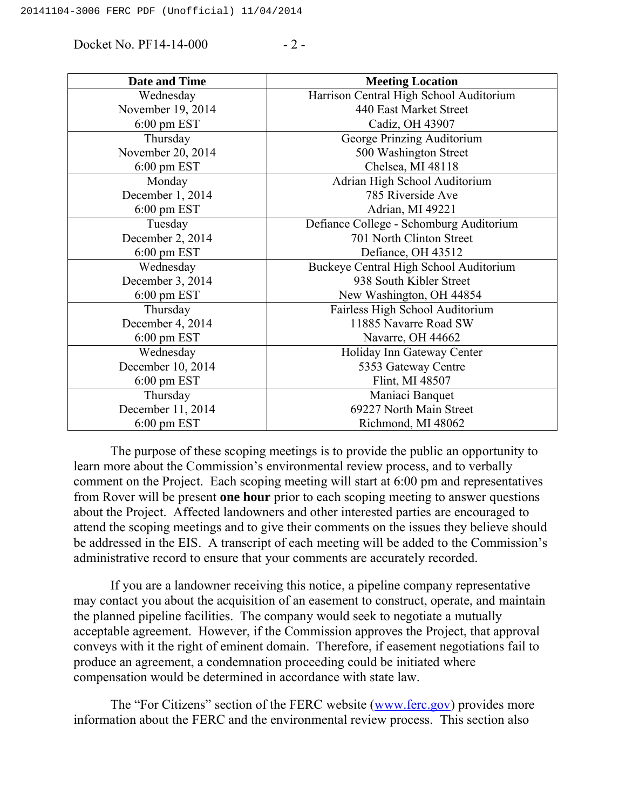Docket No. PF14-14-000 - 2 -

| <b>Date and Time</b>   | <b>Meeting Location</b>                 |  |
|------------------------|-----------------------------------------|--|
| Wednesday              | Harrison Central High School Auditorium |  |
| November 19, 2014      | 440 East Market Street                  |  |
| $6:00 \text{ pm } EST$ | Cadiz, OH 43907                         |  |
| Thursday               | George Prinzing Auditorium              |  |
| November 20, 2014      | 500 Washington Street                   |  |
| $6:00 \text{ pm } EST$ | Chelsea, MI 48118                       |  |
| Monday                 | Adrian High School Auditorium           |  |
| December 1, 2014       | 785 Riverside Ave                       |  |
| $6:00 \text{ pm } EST$ | Adrian, MI 49221                        |  |
| Tuesday                | Defiance College - Schomburg Auditorium |  |
| December 2, 2014       | 701 North Clinton Street                |  |
| $6:00$ pm EST          | Defiance, OH 43512                      |  |
| Wednesday              | Buckeye Central High School Auditorium  |  |
| December 3, 2014       | 938 South Kibler Street                 |  |
| $6:00$ pm EST          | New Washington, OH 44854                |  |
| Thursday               | Fairless High School Auditorium         |  |
| December 4, 2014       | 11885 Navarre Road SW                   |  |
| $6:00 \text{ pm } EST$ | Navarre, OH 44662                       |  |
| Wednesday              | Holiday Inn Gateway Center              |  |
| December 10, 2014      | 5353 Gateway Centre                     |  |
| $6:00 \text{ pm } EST$ | Flint, MI 48507                         |  |
| Thursday               | Maniaci Banquet                         |  |
| December 11, 2014      | 69227 North Main Street                 |  |
| $6:00 \text{ pm } EST$ | Richmond, MI 48062                      |  |

The purpose of these scoping meetings is to provide the public an opportunity to learn more about the Commission's environmental review process, and to verbally comment on the Project. Each scoping meeting will start at 6:00 pm and representatives from Rover will be present **one hour** prior to each scoping meeting to answer questions about the Project. Affected landowners and other interested parties are encouraged to attend the scoping meetings and to give their comments on the issues they believe should be addressed in the EIS. A transcript of each meeting will be added to the Commission's administrative record to ensure that your comments are accurately recorded.

If you are a landowner receiving this notice, a pipeline company representative may contact you about the acquisition of an easement to construct, operate, and maintain the planned pipeline facilities. The company would seek to negotiate a mutually acceptable agreement. However, if the Commission approves the Project, that approval conveys with it the right of eminent domain. Therefore, if easement negotiations fail to produce an agreement, a condemnation proceeding could be initiated where compensation would be determined in accordance with state law.

The "For Citizens" section of the FERC website [\(www.ferc.gov\)](http://www.ferc.gov) provides more information about the FERC and the environmental review process. This section also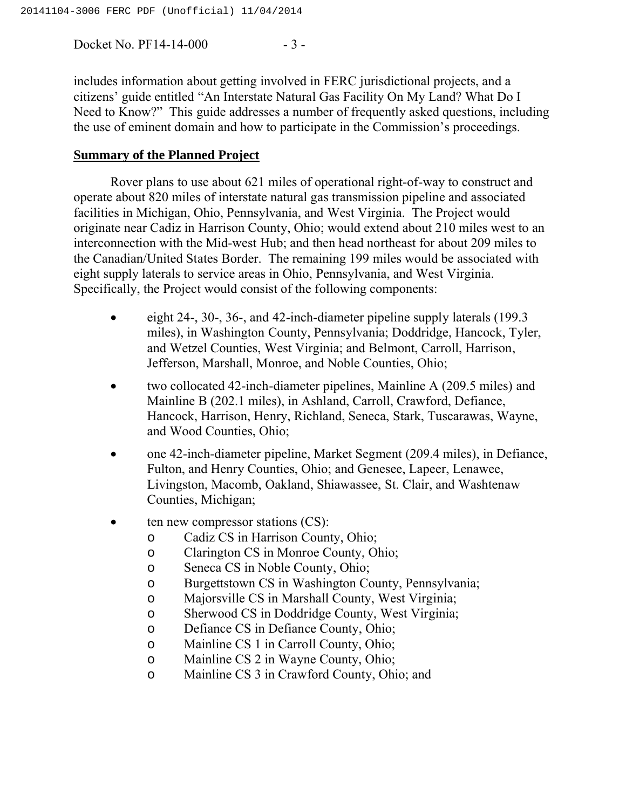Docket No. PF14-14-000 - 3 -

includes information about getting involved in FERC jurisdictional projects, and a citizens' guide entitled "An Interstate Natural Gas Facility On My Land? What Do I Need to Know?" This guide addresses a number of frequently asked questions, including the use of eminent domain and how to participate in the Commission's proceedings.

### **Summary of the Planned Project**

Rover plans to use about 621 miles of operational right-of-way to construct and operate about 820 miles of interstate natural gas transmission pipeline and associated facilities in Michigan, Ohio, Pennsylvania, and West Virginia. The Project would originate near Cadiz in Harrison County, Ohio; would extend about 210 miles west to an interconnection with the Mid-west Hub; and then head northeast for about 209 miles to the Canadian/United States Border. The remaining 199 miles would be associated with eight supply laterals to service areas in Ohio, Pennsylvania, and West Virginia. Specifically, the Project would consist of the following components:

- eight 24-, 30-, 36-, and 42-inch-diameter pipeline supply laterals (199.3 miles), in Washington County, Pennsylvania; Doddridge, Hancock, Tyler, and Wetzel Counties, West Virginia; and Belmont, Carroll, Harrison, Jefferson, Marshall, Monroe, and Noble Counties, Ohio;
- two collocated 42-inch-diameter pipelines, Mainline A (209.5 miles) and Mainline B (202.1 miles), in Ashland, Carroll, Crawford, Defiance, Hancock, Harrison, Henry, Richland, Seneca, Stark, Tuscarawas, Wayne, and Wood Counties, Ohio;
- one 42-inch-diameter pipeline, Market Segment (209.4 miles), in Defiance, Fulton, and Henry Counties, Ohio; and Genesee, Lapeer, Lenawee, Livingston, Macomb, Oakland, Shiawassee, St. Clair, and Washtenaw Counties, Michigan;
- $\bullet$  ten new compressor stations  $(CS)$ :
	- o Cadiz CS in Harrison County, Ohio;
	- o Clarington CS in Monroe County, Ohio;
	- o Seneca CS in Noble County, Ohio;
	- o Burgettstown CS in Washington County, Pennsylvania;
	- o Majorsville CS in Marshall County, West Virginia;
	- o Sherwood CS in Doddridge County, West Virginia;
	- o Defiance CS in Defiance County, Ohio;
	- o Mainline CS 1 in Carroll County, Ohio;
	- o Mainline CS 2 in Wayne County, Ohio;
	- o Mainline CS 3 in Crawford County, Ohio; and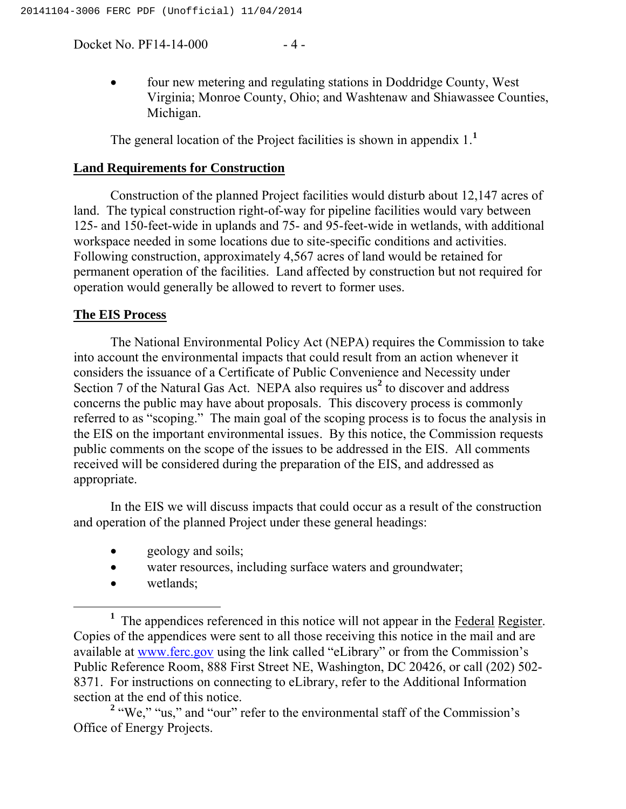Docket No. PF14-14-000 - 4 -

 four new metering and regulating stations in Doddridge County, West Virginia; Monroe County, Ohio; and Washtenaw and Shiawassee Counties, Michigan.

The general location of the Project facilities is shown in appendix 1.**<sup>1</sup>**

#### **Land Requirements for Construction**

Construction of the planned Project facilities would disturb about 12,147 acres of land. The typical construction right-of-way for pipeline facilities would vary between 125- and 150-feet-wide in uplands and 75- and 95-feet-wide in wetlands, with additional workspace needed in some locations due to site-specific conditions and activities. Following construction, approximately 4,567 acres of land would be retained for permanent operation of the facilities. Land affected by construction but not required for operation would generally be allowed to revert to former uses.

#### **The EIS Process**

The National Environmental Policy Act (NEPA) requires the Commission to take into account the environmental impacts that could result from an action whenever it considers the issuance of a Certificate of Public Convenience and Necessity under Section 7 of the Natural Gas Act. NEPA also requires us<sup>2</sup> to discover and address concerns the public may have about proposals. This discovery process is commonly referred to as "scoping." The main goal of the scoping process is to focus the analysis in the EIS on the important environmental issues. By this notice, the Commission requests public comments on the scope of the issues to be addressed in the EIS. All comments received will be considered during the preparation of the EIS, and addressed as appropriate.

In the EIS we will discuss impacts that could occur as a result of the construction and operation of the planned Project under these general headings:

- geology and soils;
- water resources, including surface waters and groundwater;
- wetlands;

<sup>&</sup>lt;sup>1</sup> The appendices referenced in this notice will not appear in the Federal Register. Copies of the appendices were sent to all those receiving this notice in the mail and are available at www.ferc.gov using the link called "eLibrary" or from the Commission's Public Reference Room, 888 First Street NE, Washington, DC 20426, or call (202) 502- 8371. For instructions on connecting to eLibrary, refer to the Additional Information section at the end of this notice.

<sup>&</sup>lt;sup>2</sup> "We," "us," and "our" refer to the environmental staff of the Commission's Office of Energy Projects.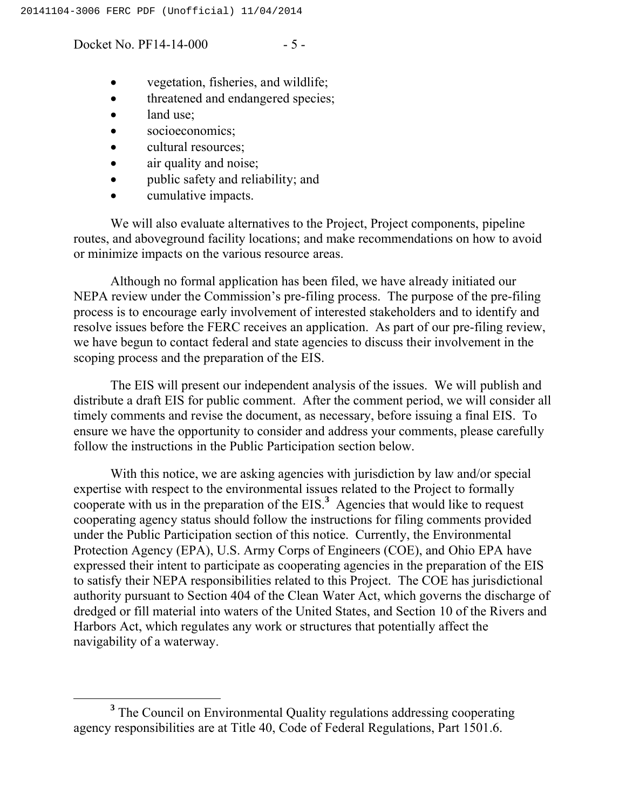Docket No. PF14-14-000 - 5 -

- vegetation, fisheries, and wildlife;
- threatened and endangered species;
- land use;
- socioeconomics;
- cultural resources;
- air quality and noise;
- public safety and reliability; and
- cumulative impacts.

We will also evaluate alternatives to the Project, Project components, pipeline routes, and aboveground facility locations; and make recommendations on how to avoid or minimize impacts on the various resource areas.

Although no formal application has been filed, we have already initiated our NEPA review under the Commission's pre-filing process. The purpose of the pre-filing process is to encourage early involvement of interested stakeholders and to identify and resolve issues before the FERC receives an application. As part of our pre-filing review, we have begun to contact federal and state agencies to discuss their involvement in the scoping process and the preparation of the EIS.

The EIS will present our independent analysis of the issues. We will publish and distribute a draft EIS for public comment. After the comment period, we will consider all timely comments and revise the document, as necessary, before issuing a final EIS. To ensure we have the opportunity to consider and address your comments, please carefully follow the instructions in the Public Participation section below.

With this notice, we are asking agencies with jurisdiction by law and/or special expertise with respect to the environmental issues related to the Project to formally cooperate with us in the preparation of the EIS.**<sup>3</sup>** Agencies that would like to request cooperating agency status should follow the instructions for filing comments provided under the Public Participation section of this notice. Currently, the Environmental Protection Agency (EPA), U.S. Army Corps of Engineers (COE), and Ohio EPA have expressed their intent to participate as cooperating agencies in the preparation of the EIS to satisfy their NEPA responsibilities related to this Project. The COE has jurisdictional authority pursuant to Section 404 of the Clean Water Act, which governs the discharge of dredged or fill material into waters of the United States, and Section 10 of the Rivers and Harbors Act, which regulates any work or structures that potentially affect the navigability of a waterway.

**<sup>3</sup>** The Council on Environmental Quality regulations addressing cooperating agency responsibilities are at Title 40, Code of Federal Regulations, Part 1501.6.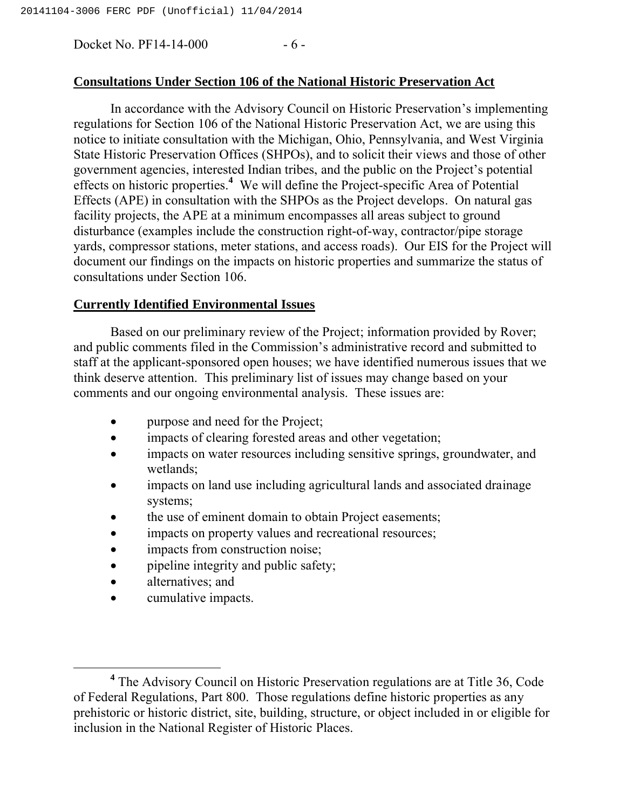Docket No. PF14-14-000 - 6 -

### **Consultations Under Section 106 of the National Historic Preservation Act**

In accordance with the Advisory Council on Historic Preservation's implementing regulations for Section 106 of the National Historic Preservation Act, we are using this notice to initiate consultation with the Michigan, Ohio, Pennsylvania, and West Virginia State Historic Preservation Offices (SHPOs), and to solicit their views and those of other government agencies, interested Indian tribes, and the public on the Project's potential effects on historic properties.**<sup>4</sup>** We will define the Project-specific Area of Potential Effects (APE) in consultation with the SHPOs as the Project develops. On natural gas facility projects, the APE at a minimum encompasses all areas subject to ground disturbance (examples include the construction right-of-way, contractor/pipe storage yards, compressor stations, meter stations, and access roads). Our EIS for the Project will document our findings on the impacts on historic properties and summarize the status of consultations under Section 106.

### **Currently Identified Environmental Issues**

Based on our preliminary review of the Project; information provided by Rover; and public comments filed in the Commission's administrative record and submitted to staff at the applicant-sponsored open houses; we have identified numerous issues that we think deserve attention. This preliminary list of issues may change based on your comments and our ongoing environmental analysis. These issues are:

- purpose and need for the Project;
- impacts of clearing forested areas and other vegetation;
- impacts on water resources including sensitive springs, groundwater, and wetlands;
- impacts on land use including agricultural lands and associated drainage systems;
- the use of eminent domain to obtain Project easements;
- impacts on property values and recreational resources;
- impacts from construction noise;
- pipeline integrity and public safety;
- alternatives: and
- cumulative impacts.

**<sup>4</sup>** The Advisory Council on Historic Preservation regulations are at Title 36, Code of Federal Regulations, Part 800. Those regulations define historic properties as any prehistoric or historic district, site, building, structure, or object included in or eligible for inclusion in the National Register of Historic Places.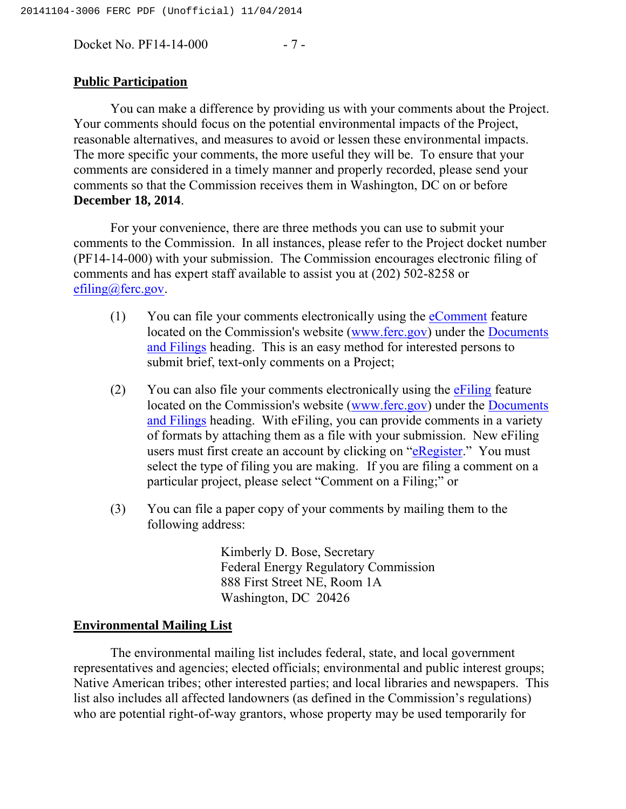Docket No. PF14-14-000 - 7 -

#### **Public Participation**

You can make a difference by providing us with your comments about the Project. Your comments should focus on the potential environmental impacts of the Project, reasonable alternatives, and measures to avoid or lessen these environmental impacts. The more specific your comments, the more useful they will be. To ensure that your comments are considered in a timely manner and properly recorded, please send your comments so that the Commission receives them in Washington, DC on or before **December 18, 2014**.

For your convenience, there are three methods you can use to submit your comments to the Commission. In all instances, please refer to the Project docket number (PF14-14-000) with your submission. The Commission encourages electronic filing of comments and has expert staff available to assist you at (202) 502-8258 or [efiling@ferc.gov.](mailto:efiling@ferc.gov)

- (1) You can file your comments electronically using the [eComment](https://ferconline.ferc.gov/QuickComment.aspx) feature located on the Commission's website ([www.ferc.gov\)](http://www.ferc.gov) under the [Documents](http://www.ferc.gov/docs-filing/docs-filing.asp)  [and Filings](http://www.ferc.gov/docs-filing/docs-filing.asp) heading. This is an easy method for interested persons to submit brief, text-only comments on a Project;
- (2) You can also file your comments electronically using the  $\frac{1}{2}$  feature located on the Commission's website ([www.ferc.gov\)](http://www.ferc.gov) under the [Documents](http://www.ferc.gov/docs-filing/docs-filing.asp)  [and Filings](http://www.ferc.gov/docs-filing/docs-filing.asp) heading. With eFiling, you can provide comments in a variety of formats by attaching them as a file with your submission. New eFiling users must first create an account by clicking on "[eRegister."](http://www.ferc.gov/docs-filing/eregistration.asp) You must select the type of filing you are making. If you are filing a comment on a particular project, please select "Comment on a Filing;" or
- (3) You can file a paper copy of your comments by mailing them to the following address:

Kimberly D. Bose, Secretary Federal Energy Regulatory Commission 888 First Street NE, Room 1A Washington, DC 20426

#### **Environmental Mailing List**

The environmental mailing list includes federal, state, and local government representatives and agencies; elected officials; environmental and public interest groups; Native American tribes; other interested parties; and local libraries and newspapers. This list also includes all affected landowners (as defined in the Commission's regulations) who are potential right-of-way grantors, whose property may be used temporarily for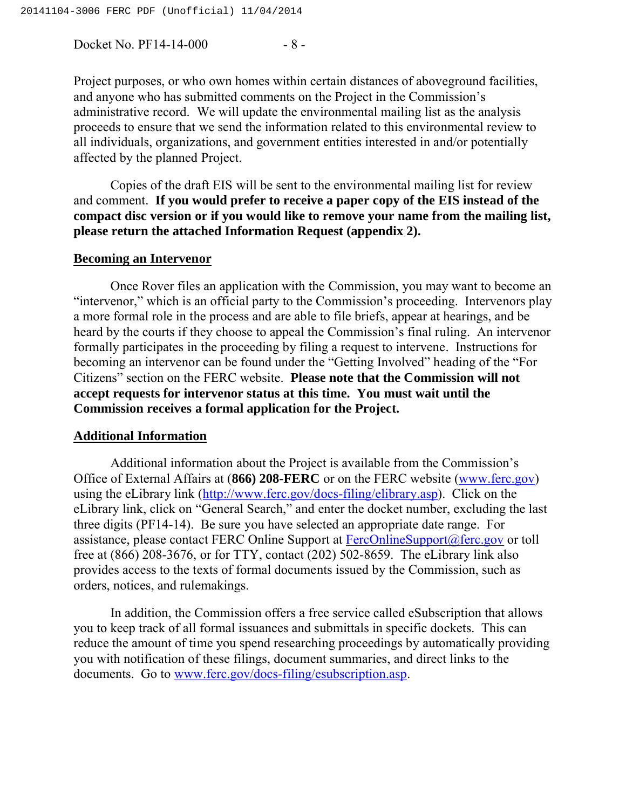Docket No. PF14-14-000 - 8 -

Project purposes, or who own homes within certain distances of aboveground facilities, and anyone who has submitted comments on the Project in the Commission's administrative record. We will update the environmental mailing list as the analysis proceeds to ensure that we send the information related to this environmental review to all individuals, organizations, and government entities interested in and/or potentially affected by the planned Project.

Copies of the draft EIS will be sent to the environmental mailing list for review and comment. **If you would prefer to receive a paper copy of the EIS instead of the compact disc version or if you would like to remove your name from the mailing list, please return the attached Information Request (appendix 2).** 

#### **Becoming an Intervenor**

Once Rover files an application with the Commission, you may want to become an "intervenor," which is an official party to the Commission's proceeding. Intervenors play a more formal role in the process and are able to file briefs, appear at hearings, and be heard by the courts if they choose to appeal the Commission's final ruling. An intervenor formally participates in the proceeding by filing a request to intervene. Instructions for becoming an intervenor can be found under the "Getting Involved" heading of the "For Citizens" section on the FERC website. **Please note that the Commission will not accept requests for intervenor status at this time. You must wait until the Commission receives a formal application for the Project.**

#### **Additional Information**

Additional information about the Project is available from the Commission's Office of External Affairs at (**866) 208-FERC** or on the FERC website ([www.ferc.gov\)](http://www.ferc.gov) using the eLibrary link [\(http://www.ferc.gov/docs](http://www.ferc.gov/docs-filing/elibrary.asp)-[filing/elibrary.asp\).](http://www.ferc.gov/docs-filing/elibrary.asp) Click on the eLibrary link, click on "General Search," and enter the docket number, excluding the last three digits (PF14-14). Be sure you have selected an appropriate date range. For assistance, please contact FERC Online Support at [FercOnlineSupport@ferc.gov](mailto:FERCOnlineSupport@ferc.gov) or toll free at (866) 208-3676, or for TTY, contact (202) 502-8659. The eLibrary link also provides access to the texts of formal documents issued by the Commission, such as orders, notices, and rulemakings.

In addition, the Commission offers a free service called eSubscription that allows you to keep track of all formal issuances and submittals in specific dockets. This can reduce the amount of time you spend researching proceedings by automatically providing you with notification of these filings, document summaries, and direct links to the documents. Go to [www.ferc.gov/docs](http://www.ferc.gov/docs-filing/esubscription.asp)-[filing/esubscription.asp.](http://www.ferc.gov/docs-filing/esubscription.asp)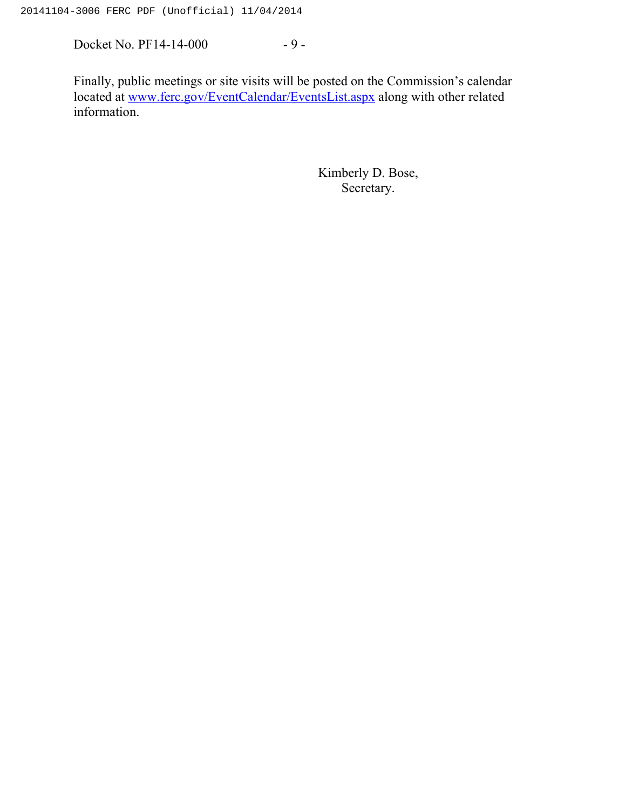Docket No. PF14-14-000 - 9 -

Finally, public meetings or site visits will be posted on the Commission's calendar located at [www.ferc.gov/EventCalendar/EventsList.aspx](http://www.ferc.gov/EventCalendar/EventsList.aspx) along with other related information.

> Kimberly D. Bose, Secretary.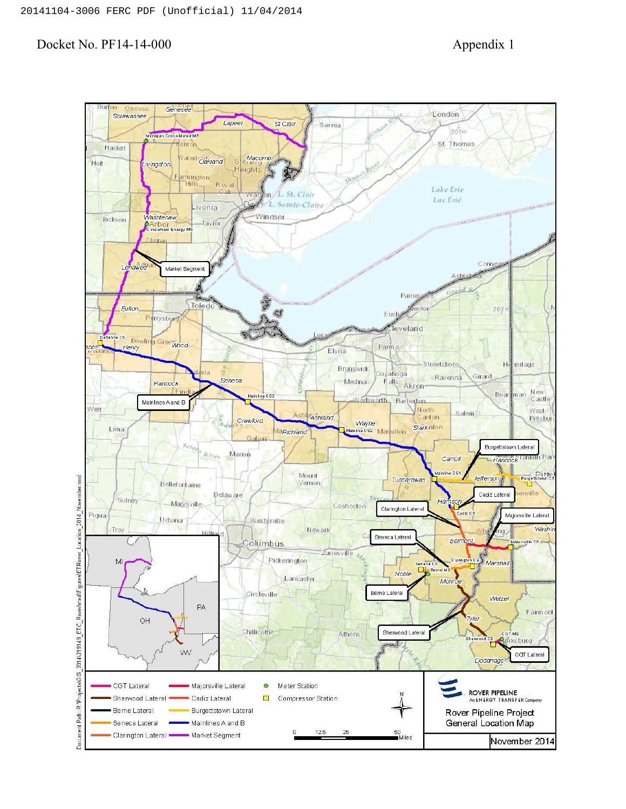#### Docket No. PF14-14-000 Appendix 1

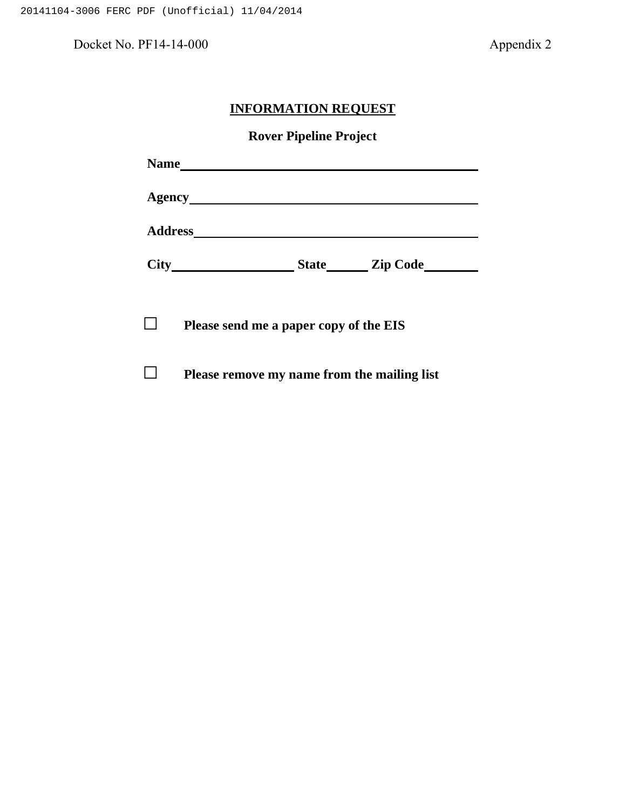Docket No. PF14-14-000 Appendix 2

# **INFORMATION REQUEST**

**Rover Pipeline Project**

| <b>Name</b>    |                                        |                 |
|----------------|----------------------------------------|-----------------|
| Agency_        |                                        |                 |
| <b>Address</b> |                                        |                 |
| <b>City</b>    | <b>State</b>                           | <b>Zip Code</b> |
|                |                                        |                 |
|                | Please send me a paper copy of the EIS |                 |

□ **Please remove my name from the mailing list**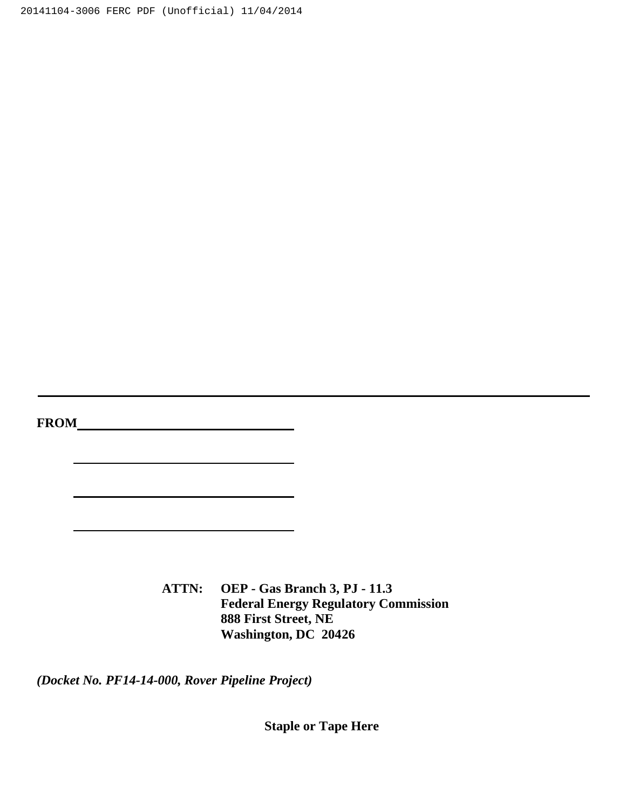20141104-3006 FERC PDF (Unofficial) 11/04/2014

**FROM**

**ATTN: OEP - Gas Branch 3, PJ - 11.3 Federal Energy Regulatory Commission 888 First Street, NE Washington, DC 20426**

*(Docket No. PF14-14-000, Rover Pipeline Project)*

**Staple or Tape Here**